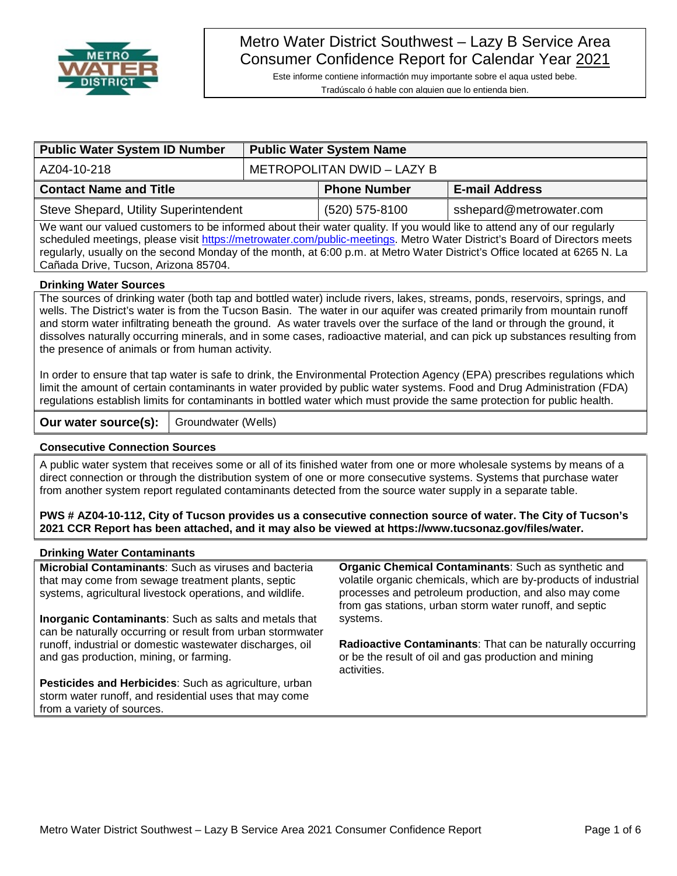

# Metro Water District Southwest – Lazy B Service Area Consumer Confidence Report for Calendar Year 2021

Este informe contiene informactión muy importante sobre el aqua usted bebe. Tradúscalo ó hable con alguien que lo entienda bien.

| <b>Public Water System ID Number</b>  |                            | <b>Public Water System Name</b> |                         |  |
|---------------------------------------|----------------------------|---------------------------------|-------------------------|--|
| AZ04-10-218                           | METROPOLITAN DWID - LAZY B |                                 |                         |  |
| <b>Contact Name and Title</b>         |                            | <b>Phone Number</b>             | <b>E-mail Address</b>   |  |
| Steve Shepard, Utility Superintendent |                            | (520) 575-8100                  | sshepard@metrowater.com |  |

We want our valued customers to be informed about their water quality. If you would like to attend any of our regularly scheduled meetings, please visit [https://metrowater.com/public-meetings.](https://metrowater.com/public-meetings) Metro Water District's Board of Directors meets regularly, usually on the second Monday of the month, at 6:00 p.m. at Metro Water District's Office located at 6265 N. La Cañada Drive, Tucson, Arizona 85704.

#### **Drinking Water Sources**

The sources of drinking water (both tap and bottled water) include rivers, lakes, streams, ponds, reservoirs, springs, and wells. The District's water is from the Tucson Basin. The water in our aquifer was created primarily from mountain runoff and storm water infiltrating beneath the ground. As water travels over the surface of the land or through the ground, it dissolves naturally occurring minerals, and in some cases, radioactive material, and can pick up substances resulting from the presence of animals or from human activity.

In order to ensure that tap water is safe to drink, the Environmental Protection Agency (EPA) prescribes regulations which limit the amount of certain contaminants in water provided by public water systems. Food and Drug Administration (FDA) regulations establish limits for contaminants in bottled water which must provide the same protection for public health.

**Our water source(s):** | Groundwater (Wells)

#### **Consecutive Connection Sources**

A public water system that receives some or all of its finished water from one or more wholesale systems by means of a direct connection or through the distribution system of one or more consecutive systems. Systems that purchase water from another system report regulated contaminants detected from the source water supply in a separate table.

**PWS # AZ04-10-112, City of Tucson provides us a consecutive connection source of water. The City of Tucson's 2021 CCR Report has been attached, and it may also be viewed at https://www.tucsonaz.gov/files/water.**

#### **Drinking Water Contaminants**

**Microbial Contaminants**: Such as viruses and bacteria that may come from sewage treatment plants, septic systems, agricultural livestock operations, and wildlife.

**Inorganic Contaminants**: Such as salts and metals that can be naturally occurring or result from urban stormwater runoff, industrial or domestic wastewater discharges, oil and gas production, mining, or farming.

**Pesticides and Herbicides**: Such as agriculture, urban storm water runoff, and residential uses that may come from a variety of sources.

**Organic Chemical Contaminants**: Such as synthetic and volatile organic chemicals, which are by-products of industrial processes and petroleum production, and also may come from gas stations, urban storm water runoff, and septic systems.

**Radioactive Contaminants**: That can be naturally occurring or be the result of oil and gas production and mining activities.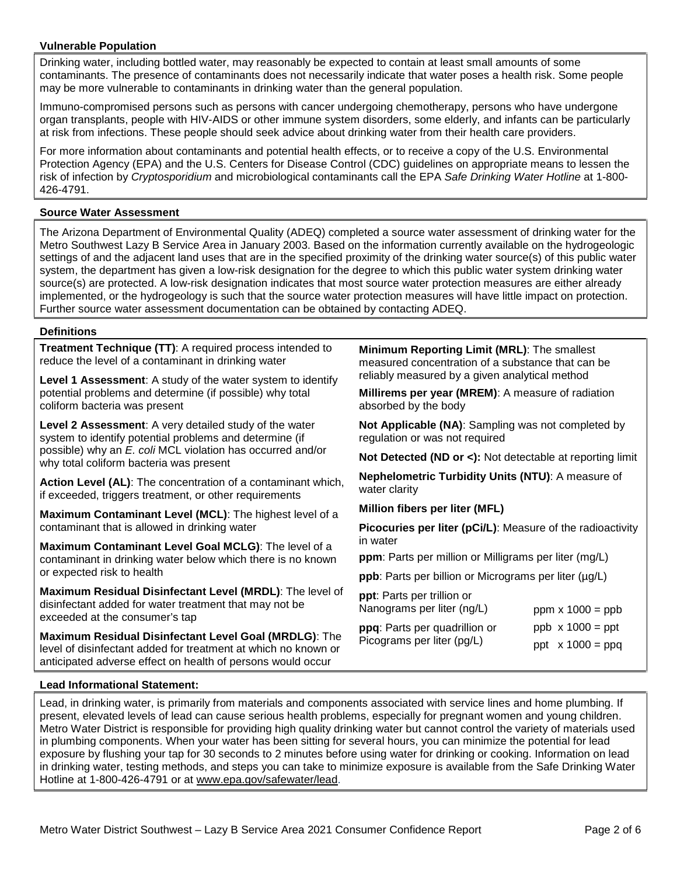#### **Vulnerable Population**

Drinking water, including bottled water, may reasonably be expected to contain at least small amounts of some contaminants. The presence of contaminants does not necessarily indicate that water poses a health risk. Some people may be more vulnerable to contaminants in drinking water than the general population.

Immuno-compromised persons such as persons with cancer undergoing chemotherapy, persons who have undergone organ transplants, people with HIV-AIDS or other immune system disorders, some elderly, and infants can be particularly at risk from infections. These people should seek advice about drinking water from their health care providers.

For more information about contaminants and potential health effects, or to receive a copy of the U.S. Environmental Protection Agency (EPA) and the U.S. Centers for Disease Control (CDC) guidelines on appropriate means to lessen the risk of infection by *Cryptosporidium* and microbiological contaminants call the EPA *Safe Drinking Water Hotline* at 1-800- 426-4791.

#### **Source Water Assessment**

The Arizona Department of Environmental Quality (ADEQ) completed a source water assessment of drinking water for the Metro Southwest Lazy B Service Area in January 2003. Based on the information currently available on the hydrogeologic settings of and the adjacent land uses that are in the specified proximity of the drinking water source(s) of this public water system, the department has given a low-risk designation for the degree to which this public water system drinking water source(s) are protected. A low-risk designation indicates that most source water protection measures are either already implemented, or the hydrogeology is such that the source water protection measures will have little impact on protection. Further source water assessment documentation can be obtained by contacting ADEQ.

#### **Definitions**

**Treatment Technique (TT)**: A required process intended to reduce the level of a contaminant in drinking water

**Level 1 Assessment**: A study of the water system to identify potential problems and determine (if possible) why total coliform bacteria was present

**Level 2 Assessment**: A very detailed study of the water system to identify potential problems and determine (if possible) why an *E. coli* MCL violation has occurred and/or why total coliform bacteria was present

**Action Level (AL)**: The concentration of a contaminant which, if exceeded, triggers treatment, or other requirements

**Maximum Contaminant Level (MCL)**: The highest level of a contaminant that is allowed in drinking water

**Maximum Contaminant Level Goal MCLG)**: The level of a contaminant in drinking water below which there is no known or expected risk to health

**Maximum Residual Disinfectant Level (MRDL)**: The level of disinfectant added for water treatment that may not be exceeded at the consumer's tap

**Maximum Residual Disinfectant Level Goal (MRDLG)**: The level of disinfectant added for treatment at which no known or anticipated adverse effect on health of persons would occur

**Minimum Reporting Limit (MRL)**: The smallest measured concentration of a substance that can be reliably measured by a given analytical method

**Millirems per year (MREM)**: A measure of radiation absorbed by the body

**Not Applicable (NA)**: Sampling was not completed by regulation or was not required

**Not Detected (ND or <):** Not detectable at reporting limit

**Nephelometric Turbidity Units (NTU)**: A measure of water clarity

**Million fibers per liter (MFL)**

**Picocuries per liter (pCi/L)**: Measure of the radioactivity in water

**ppm**: Parts per million or Milligrams per liter (mg/L)

**ppb**: Parts per billion or Micrograms per liter (µg/L)

**ppt**: Parts per trillion or Nanograms per liter (ng/L)

**ppq**: Parts per quadrillion or Picograms per liter (pg/L) ppm  $x$  1000 = ppb ppb  $\times$  1000 = ppt ppt  $x 1000 = ppq$ 

#### **Lead Informational Statement:**

Lead, in drinking water, is primarily from materials and components associated with service lines and home plumbing. If present, elevated levels of lead can cause serious health problems, especially for pregnant women and young children. Metro Water District is responsible for providing high quality drinking water but cannot control the variety of materials used in plumbing components. When your water has been sitting for several hours, you can minimize the potential for lead exposure by flushing your tap for 30 seconds to 2 minutes before using water for drinking or cooking. Information on lead in drinking water, testing methods, and steps you can take to minimize exposure is available from the Safe Drinking Water Hotline at 1-800-426-4791 or at [www.epa.gov/safewater/lead.](http://www.epa.gov/safewater/lead)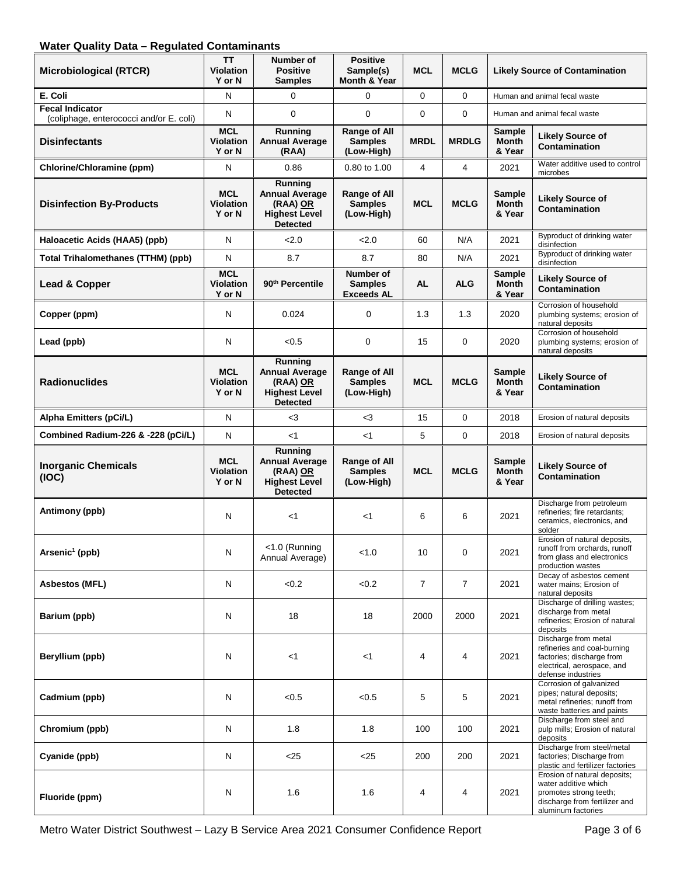### **Water Quality Data – Regulated Contaminants**

| <b>Microbiological (RTCR)</b>                                     | TΤ<br><b>Violation</b><br>Y or N         | Number of<br><b>Positive</b><br><b>Samples</b>                                          | <b>Positive</b><br>Sample(s)<br>Month & Year | <b>MCL</b>     | <b>MCLG</b>    |                                  | <b>Likely Source of Contamination</b>                                                                                                 |
|-------------------------------------------------------------------|------------------------------------------|-----------------------------------------------------------------------------------------|----------------------------------------------|----------------|----------------|----------------------------------|---------------------------------------------------------------------------------------------------------------------------------------|
| E. Coli                                                           | N                                        | $\Omega$                                                                                | $\Omega$                                     | 0              | $\Omega$       |                                  | Human and animal fecal waste                                                                                                          |
| <b>Fecal Indicator</b><br>(coliphage, enterococci and/or E. coli) | N                                        | $\mathbf{0}$                                                                            | $\Omega$                                     | $\mathbf 0$    | $\Omega$       |                                  | Human and animal fecal waste                                                                                                          |
| <b>Disinfectants</b>                                              | <b>MCL</b><br><b>Violation</b><br>Y or N | Running<br><b>Annual Average</b><br>(RAA)                                               | Range of All<br><b>Samples</b><br>(Low-High) | <b>MRDL</b>    | <b>MRDLG</b>   | Sample<br><b>Month</b><br>& Year | <b>Likely Source of</b><br><b>Contamination</b>                                                                                       |
| Chlorine/Chloramine (ppm)                                         | N                                        | 0.86                                                                                    | 0.80 to 1.00                                 | 4              | $\overline{4}$ | 2021                             | Water additive used to control<br>microbes                                                                                            |
| <b>Disinfection By-Products</b>                                   | <b>MCL</b><br><b>Violation</b><br>Y or N | Running<br><b>Annual Average</b><br>(RAA) OR<br><b>Highest Level</b><br><b>Detected</b> | Range of All<br><b>Samples</b><br>(Low-High) | <b>MCL</b>     | <b>MCLG</b>    | Sample<br><b>Month</b><br>& Year | <b>Likely Source of</b><br><b>Contamination</b>                                                                                       |
| Haloacetic Acids (HAA5) (ppb)                                     | N                                        | 2.0                                                                                     | 2.0                                          | 60             | N/A            | 2021                             | Byproduct of drinking water<br>disinfection                                                                                           |
| <b>Total Trihalomethanes (TTHM) (ppb)</b>                         | N                                        | 8.7                                                                                     | 8.7                                          | 80             | N/A            | 2021                             | Byproduct of drinking water<br>disinfection                                                                                           |
| Lead & Copper                                                     | <b>MCL</b><br><b>Violation</b><br>Y or N | 90 <sup>th</sup> Percentile                                                             | Number of<br><b>Samples</b><br>Exceeds AL    | AL             | <b>ALG</b>     | Sample<br><b>Month</b><br>& Year | <b>Likely Source of</b><br>Contamination                                                                                              |
| Copper (ppm)                                                      | N                                        | 0.024                                                                                   | 0                                            | 1.3            | 1.3            | 2020                             | Corrosion of household<br>plumbing systems; erosion of<br>natural deposits                                                            |
| Lead (ppb)                                                        | N                                        | < 0.5                                                                                   | 0                                            | 15             | $\mathbf 0$    | 2020                             | Corrosion of household<br>plumbing systems; erosion of<br>natural deposits                                                            |
| <b>Radionuclides</b>                                              | <b>MCL</b><br><b>Violation</b><br>Y or N | Running<br><b>Annual Average</b><br>(RAA) OR<br><b>Highest Level</b><br><b>Detected</b> | Range of All<br><b>Samples</b><br>(Low-High) | <b>MCL</b>     | <b>MCLG</b>    | Sample<br><b>Month</b><br>& Year | <b>Likely Source of</b><br>Contamination                                                                                              |
| Alpha Emitters (pCi/L)                                            | N                                        | $3$                                                                                     | $<$ 3                                        | 15             | 0              | 2018                             | Erosion of natural deposits                                                                                                           |
| Combined Radium-226 & -228 (pCi/L)                                | N                                        | $<$ 1                                                                                   | $<$ 1                                        | 5              | 0              | 2018                             | Erosion of natural deposits                                                                                                           |
| <b>Inorganic Chemicals</b><br>(IOC)                               | <b>MCL</b><br><b>Violation</b><br>Y or N | Running<br><b>Annual Average</b><br>(RAA) OR<br><b>Highest Level</b><br><b>Detected</b> | Range of All<br><b>Samples</b><br>(Low-High) | <b>MCL</b>     | <b>MCLG</b>    | Sample<br><b>Month</b><br>& Year | <b>Likely Source of</b><br><b>Contamination</b>                                                                                       |
| Antimony (ppb)                                                    | N                                        | $<$ 1                                                                                   | $<$ 1                                        | 6              | 6              | 2021                             | Discharge from petroleum<br>refineries; fire retardants;<br>ceramics, electronics, and<br>solder                                      |
| Arsenic <sup>1</sup> (ppb)                                        | N                                        | <1.0 (Running<br>Annual Average)                                                        | < 1.0                                        | 10             | 0              | 2021                             | Erosion of natural deposits,<br>runoff from orchards, runoff<br>from glass and electronics<br>production wastes                       |
| <b>Asbestos (MFL)</b>                                             | N                                        | < 0.2                                                                                   | < 0.2                                        | $\overline{7}$ | $\overline{7}$ | 2021                             | Decay of asbestos cement<br>water mains; Erosion of<br>natural deposits                                                               |
| Barium (ppb)                                                      | N                                        | 18                                                                                      | 18                                           | 2000           | 2000           | 2021                             | Discharge of drilling wastes;<br>discharge from metal<br>refineries; Erosion of natural<br>deposits                                   |
| Beryllium (ppb)                                                   | N                                        | $<$ 1                                                                                   | $<$ 1                                        | 4              | 4              | 2021                             | Discharge from metal<br>refineries and coal-burning<br>factories; discharge from<br>electrical, aerospace, and<br>defense industries  |
| Cadmium (ppb)                                                     | N                                        | < 0.5                                                                                   | < 0.5                                        | 5              | 5              | 2021                             | Corrosion of galvanized<br>pipes; natural deposits;<br>metal refineries; runoff from<br>waste batteries and paints                    |
| Chromium (ppb)                                                    | N                                        | 1.8                                                                                     | 1.8                                          | 100            | 100            | 2021                             | Discharge from steel and<br>pulp mills; Erosion of natural<br>deposits                                                                |
| Cyanide (ppb)                                                     | N                                        | $<$ 25                                                                                  | < 25                                         | 200            | 200            | 2021                             | Discharge from steel/metal<br>factories; Discharge from<br>plastic and fertilizer factories                                           |
| Fluoride (ppm)                                                    | N                                        | 1.6                                                                                     | 1.6                                          | 4              | 4              | 2021                             | Erosion of natural deposits;<br>water additive which<br>promotes strong teeth;<br>discharge from fertilizer and<br>aluminum factories |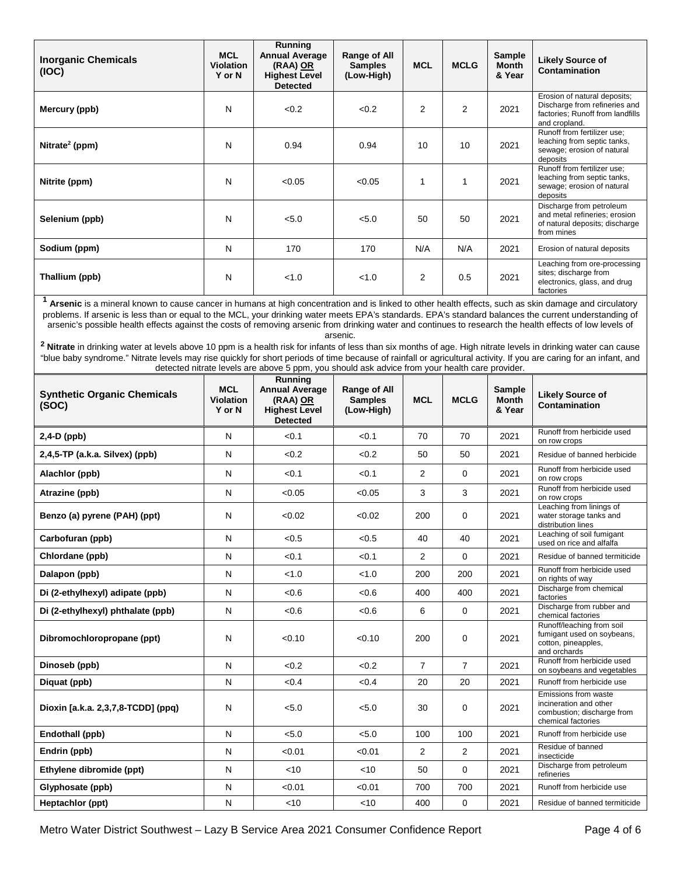| <b>Inorganic Chemicals</b><br>(IOC)                                                                                                                                                                                                                                                                                                                                                                                                                                                                                                                                                                                                                                                                                                                                                                                                           | <b>MCL</b><br><b>Violation</b><br>Y or N | <b>Running</b><br><b>Annual Average</b><br>(RAA) OR<br><b>Highest Level</b><br><b>Detected</b> | Range of All<br><b>Samples</b><br>(Low-High)        | <b>MCL</b>     | <b>MCLG</b>             | <b>Sample</b><br><b>Month</b><br>& Year | <b>Likely Source of</b><br>Contamination                                                                           |
|-----------------------------------------------------------------------------------------------------------------------------------------------------------------------------------------------------------------------------------------------------------------------------------------------------------------------------------------------------------------------------------------------------------------------------------------------------------------------------------------------------------------------------------------------------------------------------------------------------------------------------------------------------------------------------------------------------------------------------------------------------------------------------------------------------------------------------------------------|------------------------------------------|------------------------------------------------------------------------------------------------|-----------------------------------------------------|----------------|-------------------------|-----------------------------------------|--------------------------------------------------------------------------------------------------------------------|
| Mercury (ppb)                                                                                                                                                                                                                                                                                                                                                                                                                                                                                                                                                                                                                                                                                                                                                                                                                                 | N                                        | < 0.2                                                                                          | < 0.2                                               | 2              | 2                       | 2021                                    | Erosion of natural deposits;<br>Discharge from refineries and<br>factories; Runoff from landfills<br>and cropland. |
| Nitrate <sup>2</sup> (ppm)                                                                                                                                                                                                                                                                                                                                                                                                                                                                                                                                                                                                                                                                                                                                                                                                                    | N                                        | 0.94                                                                                           | 0.94                                                | 10             | 10                      | 2021                                    | Runoff from fertilizer use;<br>leaching from septic tanks,<br>sewage; erosion of natural<br>deposits               |
| Nitrite (ppm)                                                                                                                                                                                                                                                                                                                                                                                                                                                                                                                                                                                                                                                                                                                                                                                                                                 | N                                        | < 0.05                                                                                         | < 0.05                                              | 1              | 1                       | 2021                                    | Runoff from fertilizer use;<br>leaching from septic tanks,<br>sewage; erosion of natural<br>deposits               |
| Selenium (ppb)                                                                                                                                                                                                                                                                                                                                                                                                                                                                                                                                                                                                                                                                                                                                                                                                                                | N                                        | < 5.0                                                                                          | < 5.0                                               | 50             | 50                      | 2021                                    | Discharge from petroleum<br>and metal refineries; erosion<br>of natural deposits; discharge<br>from mines          |
| Sodium (ppm)                                                                                                                                                                                                                                                                                                                                                                                                                                                                                                                                                                                                                                                                                                                                                                                                                                  | N                                        | 170                                                                                            | 170                                                 | N/A            | N/A                     | 2021                                    | Erosion of natural deposits                                                                                        |
| Thallium (ppb)                                                                                                                                                                                                                                                                                                                                                                                                                                                                                                                                                                                                                                                                                                                                                                                                                                | N                                        | < 1.0                                                                                          | < 1.0                                               | 2              | 0.5                     | 2021                                    | Leaching from ore-processing<br>sites; discharge from<br>electronics, glass, and drug<br>factories                 |
| <sup>1</sup> Arsenic is a mineral known to cause cancer in humans at high concentration and is linked to other health effects, such as skin damage and circulatory<br>problems. If arsenic is less than or equal to the MCL, your drinking water meets EPA's standards. EPA's standard balances the current understanding of<br>arsenic's possible health effects against the costs of removing arsenic from drinking water and continues to research the health effects of low levels of<br><sup>2</sup> Nitrate in drinking water at levels above 10 ppm is a health risk for infants of less than six months of age. High nitrate levels in drinking water can cause<br>"blue baby syndrome." Nitrate levels may rise quickly for short periods of time because of rainfall or agricultural activity. If you are caring for an infant, and |                                          | detected nitrate levels are above 5 ppm, you should ask advice from your health care provider. | arsenic.                                            |                |                         |                                         |                                                                                                                    |
| <b>Synthetic Organic Chemicals</b><br>(SOC)                                                                                                                                                                                                                                                                                                                                                                                                                                                                                                                                                                                                                                                                                                                                                                                                   | <b>MCL</b><br><b>Violation</b><br>Y or N | Running<br><b>Annual Average</b><br>(RAA) OR<br><b>Highest Level</b><br><b>Detected</b>        | <b>Range of All</b><br><b>Samples</b><br>(Low-High) | <b>MCL</b>     | <b>MCLG</b>             | <b>Sample</b><br>Month<br>& Year        | <b>Likely Source of</b><br><b>Contamination</b>                                                                    |
|                                                                                                                                                                                                                                                                                                                                                                                                                                                                                                                                                                                                                                                                                                                                                                                                                                               |                                          |                                                                                                |                                                     |                |                         |                                         |                                                                                                                    |
| $2,4-D$ (ppb)                                                                                                                                                                                                                                                                                                                                                                                                                                                                                                                                                                                                                                                                                                                                                                                                                                 | N                                        | < 0.1                                                                                          | < 0.1                                               | 70             | 70                      | 2021                                    | Runoff from herbicide used                                                                                         |
| 2,4,5-TP (a.k.a. Silvex) (ppb)                                                                                                                                                                                                                                                                                                                                                                                                                                                                                                                                                                                                                                                                                                                                                                                                                | N                                        | <0.2                                                                                           | < 0.2                                               | 50             | 50                      | 2021                                    | on row crops<br>Residue of banned herbicide                                                                        |
| Alachlor (ppb)                                                                                                                                                                                                                                                                                                                                                                                                                                                                                                                                                                                                                                                                                                                                                                                                                                | Ν                                        | < 0.1                                                                                          | < 0.1                                               | 2              | $\mathbf 0$             | 2021                                    | Runoff from herbicide used<br>on row crops                                                                         |
| Atrazine (ppb)                                                                                                                                                                                                                                                                                                                                                                                                                                                                                                                                                                                                                                                                                                                                                                                                                                | Ν                                        | < 0.05                                                                                         | < 0.05                                              | 3              | 3                       | 2021                                    | Runoff from herbicide used<br>on row crops                                                                         |
| Benzo (a) pyrene (PAH) (ppt)                                                                                                                                                                                                                                                                                                                                                                                                                                                                                                                                                                                                                                                                                                                                                                                                                  | N                                        | < 0.02                                                                                         | < 0.02                                              | 200            | $\mathbf 0$             | 2021                                    | Leaching from linings of<br>water storage tanks and<br>distribution lines                                          |
| Carbofuran (ppb)                                                                                                                                                                                                                                                                                                                                                                                                                                                                                                                                                                                                                                                                                                                                                                                                                              | N                                        | <0.5                                                                                           | < 0.5                                               | 40             | 40                      | 2021                                    | Leaching of soil fumigant<br>used on rice and alfalfa                                                              |
| Chlordane (ppb)                                                                                                                                                                                                                                                                                                                                                                                                                                                                                                                                                                                                                                                                                                                                                                                                                               | N                                        | < 0.1                                                                                          | < 0.1                                               | 2              | $\mathbf 0$             | 2021                                    | Residue of banned termiticide                                                                                      |
| Dalapon (ppb)                                                                                                                                                                                                                                                                                                                                                                                                                                                                                                                                                                                                                                                                                                                                                                                                                                 | N                                        | < 1.0                                                                                          | < 1.0                                               | 200            | 200                     | 2021                                    | Runoff from herbicide used<br>on rights of way                                                                     |
| Di (2-ethylhexyl) adipate (ppb)                                                                                                                                                                                                                                                                                                                                                                                                                                                                                                                                                                                                                                                                                                                                                                                                               | N                                        | <0.6                                                                                           | < 0.6                                               | 400            | 400                     | 2021                                    | Discharge from chemical<br>factories                                                                               |
| Di (2-ethylhexyl) phthalate (ppb)                                                                                                                                                                                                                                                                                                                                                                                                                                                                                                                                                                                                                                                                                                                                                                                                             | N                                        | <0.6                                                                                           | < 0.6                                               | 6              | $\mathbf 0$             | 2021                                    | Discharge from rubber and<br>chemical factories                                                                    |
| Dibromochloropropane (ppt)                                                                                                                                                                                                                                                                                                                                                                                                                                                                                                                                                                                                                                                                                                                                                                                                                    | N                                        | < 0.10                                                                                         | < 0.10                                              | 200            | 0                       | 2021                                    | Runoff/leaching from soil<br>fumigant used on soybeans,<br>cotton, pineapples,<br>and orchards                     |
| Dinoseb (ppb)                                                                                                                                                                                                                                                                                                                                                                                                                                                                                                                                                                                                                                                                                                                                                                                                                                 | N                                        | < 0.2                                                                                          | < 0.2                                               | $\overline{7}$ | $\overline{7}$          | 2021                                    | Runoff from herbicide used                                                                                         |
| Diquat (ppb)                                                                                                                                                                                                                                                                                                                                                                                                                                                                                                                                                                                                                                                                                                                                                                                                                                  | N                                        | < 0.4                                                                                          | < 0.4                                               | 20             | 20                      | 2021                                    | on soybeans and vegetables<br>Runoff from herbicide use                                                            |
| Dioxin [a.k.a. 2,3,7,8-TCDD] (ppq)                                                                                                                                                                                                                                                                                                                                                                                                                                                                                                                                                                                                                                                                                                                                                                                                            | N                                        | < 5.0                                                                                          | < 5.0                                               | 30             | 0                       | 2021                                    | Emissions from waste<br>incineration and other<br>combustion; discharge from<br>chemical factories                 |
| Endothall (ppb)                                                                                                                                                                                                                                                                                                                                                                                                                                                                                                                                                                                                                                                                                                                                                                                                                               | N                                        | < 5.0                                                                                          | < 5.0                                               | 100            | 100                     | 2021                                    | Runoff from herbicide use                                                                                          |
| Endrin (ppb)                                                                                                                                                                                                                                                                                                                                                                                                                                                                                                                                                                                                                                                                                                                                                                                                                                  | N                                        | < 0.01                                                                                         | < 0.01                                              | 2              | $\overline{\mathbf{c}}$ | 2021                                    | Residue of banned<br>insecticide                                                                                   |
| Ethylene dibromide (ppt)                                                                                                                                                                                                                                                                                                                                                                                                                                                                                                                                                                                                                                                                                                                                                                                                                      | N                                        | $<$ 10                                                                                         | <10                                                 | 50             | 0                       | 2021                                    | Discharge from petroleum<br>refineries                                                                             |
| Glyphosate (ppb)                                                                                                                                                                                                                                                                                                                                                                                                                                                                                                                                                                                                                                                                                                                                                                                                                              | Ν                                        | < 0.01                                                                                         | < 0.01                                              | 700            | 700                     | 2021                                    | Runoff from herbicide use                                                                                          |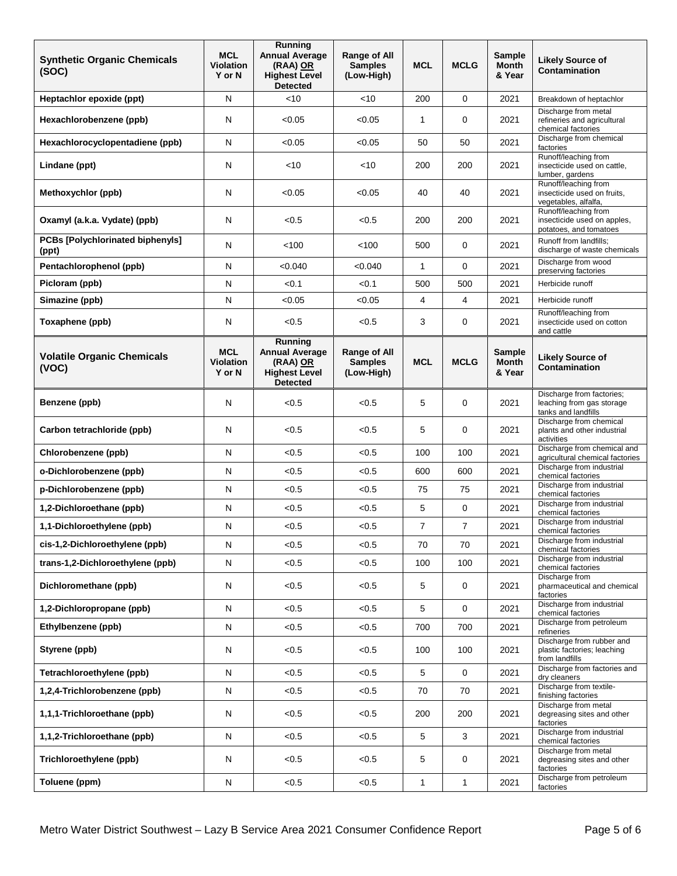| <b>Synthetic Organic Chemicals</b><br>(SOC)      | <b>MCL</b><br><b>Violation</b><br>Y or N | Running<br><b>Annual Average</b><br>(RAA) OR<br><b>Highest Level</b><br><b>Detected</b> | Range of All<br><b>Samples</b><br>(Low-High)        | <b>MCL</b>     | <b>MCLG</b>    | <b>Sample</b><br><b>Month</b><br>& Year | <b>Likely Source of</b><br><b>Contamination</b>                               |
|--------------------------------------------------|------------------------------------------|-----------------------------------------------------------------------------------------|-----------------------------------------------------|----------------|----------------|-----------------------------------------|-------------------------------------------------------------------------------|
| Heptachlor epoxide (ppt)                         | N                                        | $<$ 10                                                                                  | $<$ 10                                              | 200            | $\mathbf 0$    | 2021                                    | Breakdown of heptachlor                                                       |
| Hexachlorobenzene (ppb)                          | N                                        | < 0.05                                                                                  | < 0.05                                              | $\mathbf{1}$   | 0              | 2021                                    | Discharge from metal<br>refineries and agricultural<br>chemical factories     |
| Hexachlorocyclopentadiene (ppb)                  | N                                        | < 0.05                                                                                  | < 0.05                                              | 50             | 50             | 2021                                    | Discharge from chemical<br>factories                                          |
| Lindane (ppt)                                    | N                                        | $<$ 10                                                                                  | $<$ 10                                              | 200            | 200            | 2021                                    | Runoff/leaching from<br>insecticide used on cattle,<br>lumber, gardens        |
| Methoxychlor (ppb)                               | N                                        | < 0.05                                                                                  | < 0.05                                              | 40             | 40             | 2021                                    | Runoff/leaching from<br>insecticide used on fruits,<br>vegetables, alfalfa,   |
| Oxamyl (a.k.a. Vydate) (ppb)                     | Ν                                        | < 0.5                                                                                   | < 0.5                                               | 200            | 200            | 2021                                    | Runoff/leaching from<br>insecticide used on apples,<br>potatoes, and tomatoes |
| <b>PCBs [Polychlorinated biphenyls]</b><br>(ppt) | N                                        | < 100                                                                                   | 100                                                 | 500            | 0              | 2021                                    | Runoff from landfills;<br>discharge of waste chemicals                        |
| Pentachlorophenol (ppb)                          | N                                        | < 0.040                                                                                 | < 0.040                                             | $\mathbf{1}$   | $\mathbf 0$    | 2021                                    | Discharge from wood<br>preserving factories                                   |
| Picloram (ppb)                                   | N                                        | < 0.1                                                                                   | < 0.1                                               | 500            | 500            | 2021                                    | Herbicide runoff                                                              |
| Simazine (ppb)                                   | N                                        | < 0.05                                                                                  | < 0.05                                              | 4              | 4              | 2021                                    | Herbicide runoff                                                              |
| Toxaphene (ppb)                                  | N                                        | < 0.5                                                                                   | < 0.5                                               | 3              | 0              | 2021                                    | Runoff/leaching from<br>insecticide used on cotton<br>and cattle              |
| <b>Volatile Organic Chemicals</b><br>(VOC)       | <b>MCL</b><br><b>Violation</b><br>Y or N | Running<br><b>Annual Average</b><br>(RAA) OR<br><b>Highest Level</b><br><b>Detected</b> | <b>Range of All</b><br><b>Samples</b><br>(Low-High) | <b>MCL</b>     | <b>MCLG</b>    | <b>Sample</b><br>Month<br>& Year        | <b>Likely Source of</b><br>Contamination                                      |
| Benzene (ppb)                                    | N                                        | < 0.5                                                                                   | < 0.5                                               | 5              | $\mathbf 0$    | 2021                                    | Discharge from factories;<br>leaching from gas storage<br>tanks and landfills |
| Carbon tetrachloride (ppb)                       | N                                        | < 0.5                                                                                   | < 0.5                                               | 5              | $\mathbf 0$    | 2021                                    | Discharge from chemical<br>plants and other industrial<br>activities          |
| Chlorobenzene (ppb)                              | N                                        | < 0.5                                                                                   | < 0.5                                               | 100            | 100            | 2021                                    | Discharge from chemical and<br>agricultural chemical factories                |
| o-Dichlorobenzene (ppb)                          | N                                        | < 0.5                                                                                   | < 0.5                                               | 600            | 600            | 2021                                    | Discharge from industrial<br>chemical factories                               |
| p-Dichlorobenzene (ppb)                          | N                                        | < 0.5                                                                                   | < 0.5                                               | 75             | 75             | 2021                                    | Discharge from industrial<br>chemical factories                               |
| 1,2-Dichloroethane (ppb)                         | N                                        | < 0.5                                                                                   | < 0.5                                               | 5              | $\mathbf 0$    | 2021                                    | Discharge from industrial<br>chemical factories                               |
| 1,1-Dichloroethylene (ppb)                       | N                                        | < 0.5                                                                                   | < 0.5                                               | $\overline{7}$ | $\overline{7}$ | 2021                                    | Discharge from industrial<br>chemical factories                               |
| cis-1,2-Dichloroethylene (ppb)                   | N                                        | < 0.5                                                                                   | < 0.5                                               | 70             | 70             | 2021                                    | Discharge from industrial<br>chemical factories                               |
| trans-1,2-Dichloroethylene (ppb)                 | N                                        | < 0.5                                                                                   | < 0.5                                               | 100            | 100            | 2021                                    | Discharge from industrial<br>chemical factories                               |
| Dichloromethane (ppb)                            | N                                        | < 0.5                                                                                   | < 0.5                                               | 5              | 0              | 2021                                    | Discharge from<br>pharmaceutical and chemical<br>factories                    |
| 1,2-Dichloropropane (ppb)                        | N                                        | < 0.5                                                                                   | < 0.5                                               | 5              | $\mathbf 0$    | 2021                                    | Discharge from industrial<br>chemical factories                               |
| Ethylbenzene (ppb)                               | ${\sf N}$                                | < 0.5                                                                                   | < 0.5                                               | 700            | 700            | 2021                                    | Discharge from petroleum<br>refineries                                        |
| Styrene (ppb)                                    | N                                        | < 0.5                                                                                   | < 0.5                                               | 100            | 100            | 2021                                    | Discharge from rubber and<br>plastic factories; leaching<br>from landfills    |
| Tetrachloroethylene (ppb)                        | N                                        | < 0.5                                                                                   | < 0.5                                               | 5              | $\mathbf 0$    | 2021                                    | Discharge from factories and<br>dry cleaners                                  |
| 1,2,4-Trichlorobenzene (ppb)                     | N                                        | < 0.5                                                                                   | < 0.5                                               | 70             | 70             | 2021                                    | Discharge from textile-<br>finishing factories                                |
| 1,1,1-Trichloroethane (ppb)                      | N                                        | < 0.5                                                                                   | < 0.5                                               | 200            | 200            | 2021                                    | Discharge from metal<br>degreasing sites and other<br>factories               |
| 1,1,2-Trichloroethane (ppb)                      | ${\sf N}$                                | < 0.5                                                                                   | < 0.5                                               | 5              | 3              | 2021                                    | Discharge from industrial<br>chemical factories                               |
| Trichloroethylene (ppb)                          | N                                        | < 0.5                                                                                   | < 0.5                                               | 5              | 0              | 2021                                    | Discharge from metal<br>degreasing sites and other<br>factories               |
| Toluene (ppm)                                    | N                                        | < 0.5                                                                                   | < 0.5                                               | $\mathbf{1}$   | $\mathbf{1}$   | 2021                                    | Discharge from petroleum<br>factories                                         |